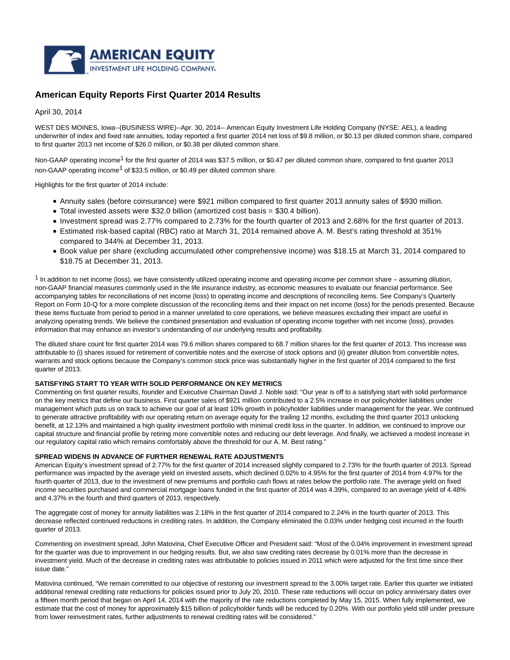

# **American Equity Reports First Quarter 2014 Results**

April 30, 2014

WEST DES MOINES, Iowa--(BUSINESS WIRE)--Apr. 30, 2014-- American Equity Investment Life Holding Company (NYSE: AEL), a leading underwriter of index and fixed rate annuities, today reported a first quarter 2014 net loss of \$9.8 million, or \$0.13 per diluted common share, compared to first quarter 2013 net income of \$26.0 million, or \$0.38 per diluted common share.

Non-GAAP operating income<sup>1</sup> for the first quarter of 2014 was \$37.5 million, or \$0.47 per diluted common share, compared to first quarter 2013 non-GAAP operating income<sup>1</sup> of \$33.5 million, or \$0.49 per diluted common share.

Highlights for the first quarter of 2014 include:

- Annuity sales (before coinsurance) were \$921 million compared to first quarter 2013 annuity sales of \$930 million.
- Total invested assets were \$32.0 billion (amortized cost basis = \$30.4 billion).
- Investment spread was 2.77% compared to 2.73% for the fourth quarter of 2013 and 2.68% for the first quarter of 2013.
- Estimated risk-based capital (RBC) ratio at March 31, 2014 remained above A. M. Best's rating threshold at 351% compared to 344% at December 31, 2013.
- Book value per share (excluding accumulated other comprehensive income) was \$18.15 at March 31, 2014 compared to \$18.75 at December 31, 2013.

 $1$  In addition to net income (loss), we have consistently utilized operating income and operating income per common share – assuming dilution, non-GAAP financial measures commonly used in the life insurance industry, as economic measures to evaluate our financial performance. See accompanying tables for reconciliations of net income (loss) to operating income and descriptions of reconciling items. See Company's Quarterly Report on Form 10-Q for a more complete discussion of the reconciling items and their impact on net income (loss) for the periods presented. Because these items fluctuate from period to period in a manner unrelated to core operations, we believe measures excluding their impact are useful in analyzing operating trends. We believe the combined presentation and evaluation of operating income together with net income (loss), provides information that may enhance an investor's understanding of our underlying results and profitability.

The diluted share count for first quarter 2014 was 79.6 million shares compared to 68.7 million shares for the first quarter of 2013. This increase was attributable to (i) shares issued for retirement of convertible notes and the exercise of stock options and (ii) greater dilution from convertible notes, warrants and stock options because the Company's common stock price was substantially higher in the first quarter of 2014 compared to the first quarter of 2013.

# **SATISFYING START TO YEAR WITH SOLID PERFORMANCE ON KEY METRICS**

Commenting on first quarter results, founder and Executive Chairman David J. Noble said: "Our year is off to a satisfying start with solid performance on the key metrics that define our business. First quarter sales of \$921 million contributed to a 2.5% increase in our policyholder liabilities under management which puts us on track to achieve our goal of at least 10% growth in policyholder liabilities under management for the year. We continued to generate attractive profitability with our operating return on average equity for the trailing 12 months, excluding the third quarter 2013 unlocking benefit, at 12.13% and maintained a high quality investment portfolio with minimal credit loss in the quarter. In addition, we continued to improve our capital structure and financial profile by retiring more convertible notes and reducing our debt leverage. And finally, we achieved a modest increase in our regulatory capital ratio which remains comfortably above the threshold for our A. M. Best rating."

# **SPREAD WIDENS IN ADVANCE OF FURTHER RENEWAL RATE ADJUSTMENTS**

American Equity's investment spread of 2.77% for the first quarter of 2014 increased slightly compared to 2.73% for the fourth quarter of 2013. Spread performance was impacted by the average yield on invested assets, which declined 0.02% to 4.95% for the first quarter of 2014 from 4.97% for the fourth quarter of 2013, due to the investment of new premiums and portfolio cash flows at rates below the portfolio rate. The average yield on fixed income securities purchased and commercial mortgage loans funded in the first quarter of 2014 was 4.39%, compared to an average yield of 4.48% and 4.37% in the fourth and third quarters of 2013, respectively.

The aggregate cost of money for annuity liabilities was 2.18% in the first quarter of 2014 compared to 2.24% in the fourth quarter of 2013. This decrease reflected continued reductions in crediting rates. In addition, the Company eliminated the 0.03% under hedging cost incurred in the fourth quarter of 2013.

Commenting on investment spread, John Matovina, Chief Executive Officer and President said: "Most of the 0.04% improvement in investment spread for the quarter was due to improvement in our hedging results. But, we also saw crediting rates decrease by 0.01% more than the decrease in investment yield. Much of the decrease in crediting rates was attributable to policies issued in 2011 which were adjusted for the first time since their issue date."

Matovina continued, "We remain committed to our objective of restoring our investment spread to the 3.00% target rate. Earlier this quarter we initiated additional renewal crediting rate reductions for policies issued prior to July 20, 2010. These rate reductions will occur on policy anniversary dates over a fifteen month period that began on April 14, 2014 with the majority of the rate reductions completed by May 15, 2015. When fully implemented, we estimate that the cost of money for approximately \$15 billion of policyholder funds will be reduced by 0.20%. With our portfolio yield still under pressure from lower reinvestment rates, further adjustments to renewal crediting rates will be considered."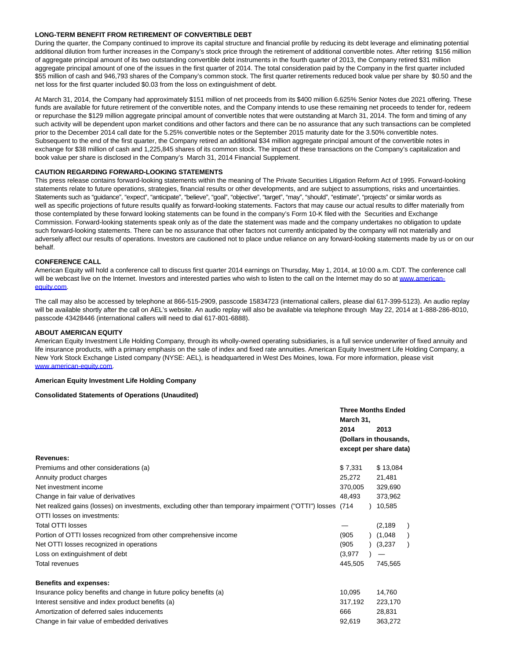# **LONG-TERM BENEFIT FROM RETIREMENT OF CONVERTIBLE DEBT**

During the quarter, the Company continued to improve its capital structure and financial profile by reducing its debt leverage and eliminating potential additional dilution from further increases in the Company's stock price through the retirement of additional convertible notes. After retiring \$156 million of aggregate principal amount of its two outstanding convertible debt instruments in the fourth quarter of 2013, the Company retired \$31 million aggregate principal amount of one of the issues in the first quarter of 2014. The total consideration paid by the Company in the first quarter included \$55 million of cash and 946,793 shares of the Company's common stock. The first quarter retirements reduced book value per share by \$0.50 and the net loss for the first quarter included \$0.03 from the loss on extinguishment of debt.

At March 31, 2014, the Company had approximately \$151 million of net proceeds from its \$400 million 6.625% Senior Notes due 2021 offering. These funds are available for future retirement of the convertible notes, and the Company intends to use these remaining net proceeds to tender for, redeem or repurchase the \$129 million aggregate principal amount of convertible notes that were outstanding at March 31, 2014. The form and timing of any such activity will be dependent upon market conditions and other factors and there can be no assurance that any such transactions can be completed prior to the December 2014 call date for the 5.25% convertible notes or the September 2015 maturity date for the 3.50% convertible notes. Subsequent to the end of the first quarter, the Company retired an additional \$34 million aggregate principal amount of the convertible notes in exchange for \$38 million of cash and 1,225,845 shares of its common stock. The impact of these transactions on the Company's capitalization and book value per share is disclosed in the Company's March 31, 2014 Financial Supplement.

# **CAUTION REGARDING FORWARD-LOOKING STATEMENTS**

This press release contains forward-looking statements within the meaning of The Private Securities Litigation Reform Act of 1995. Forward-looking statements relate to future operations, strategies, financial results or other developments, and are subject to assumptions, risks and uncertainties. Statements such as "guidance", "expect", "anticipate", "believe", "goal", "objective", "target", "may", "should", "estimate", "projects" or similar words as well as specific projections of future results qualify as forward-looking statements. Factors that may cause our actual results to differ materially from those contemplated by these forward looking statements can be found in the company's Form 10-K filed with the Securities and Exchange Commission. Forward-looking statements speak only as of the date the statement was made and the company undertakes no obligation to update such forward-looking statements. There can be no assurance that other factors not currently anticipated by the company will not materially and adversely affect our results of operations. Investors are cautioned not to place undue reliance on any forward-looking statements made by us or on our behalf.

# **CONFERENCE CALL**

American Equity will hold a conference call to discuss first quarter 2014 earnings on Thursday, May 1, 2014, at 10:00 a.m. CDT. The conference call will be webcast live on the Internet. Investors and interested parties who wish to listen to the call on the Internet may do so at [www.american](http://cts.businesswire.com/ct/CT?id=smartlink&url=http%3A%2F%2Fwww.american-equity.com&esheet=50855348&newsitemid=20140430006825&lan=en-US&anchor=www.american-equity.com&index=1&md5=0f12c93a42599e0e35f126ff63c0f2d5)equity.com.

The call may also be accessed by telephone at 866-515-2909, passcode 15834723 (international callers, please dial 617-399-5123). An audio replay will be available shortly after the call on AEL's website. An audio replay will also be available via telephone through May 22, 2014 at 1-888-286-8010, passcode 43428446 (international callers will need to dial 617-801-6888).

## **ABOUT AMERICAN EQUITY**

American Equity Investment Life Holding Company, through its wholly-owned operating subsidiaries, is a full service underwriter of fixed annuity and life insurance products, with a primary emphasis on the sale of index and fixed rate annuities. American Equity Investment Life Holding Company, a New York Stock Exchange Listed company (NYSE: AEL), is headquartered in West Des Moines, Iowa. For more information, please visit [www.american-equity.com.](http://cts.businesswire.com/ct/CT?id=smartlink&url=http%3A%2F%2Fwww.american-equity.com&esheet=50855348&newsitemid=20140430006825&lan=en-US&anchor=www.american-equity.com&index=2&md5=cecbceaefcccd609c67d252e64363fa8)

# **American Equity Investment Life Holding Company**

#### **Consolidated Statements of Operations (Unaudited)**

|                                                                                                       | <b>Three Months Ended</b><br>March 31, |                                                  |          |  |
|-------------------------------------------------------------------------------------------------------|----------------------------------------|--------------------------------------------------|----------|--|
|                                                                                                       | 2014                                   |                                                  | 2013     |  |
|                                                                                                       |                                        | (Dollars in thousands,<br>except per share data) |          |  |
|                                                                                                       |                                        |                                                  |          |  |
| Revenues:                                                                                             |                                        |                                                  |          |  |
| Premiums and other considerations (a)                                                                 | \$7,331                                |                                                  | \$13,084 |  |
| Annuity product charges                                                                               | 25,272                                 |                                                  | 21,481   |  |
| Net investment income                                                                                 | 370,005                                |                                                  | 329,690  |  |
| Change in fair value of derivatives                                                                   | 48.493                                 |                                                  | 373,962  |  |
| Net realized gains (losses) on investments, excluding other than temporary impairment ("OTTI") losses | (714)                                  |                                                  | 10,585   |  |
| OTTI losses on investments:                                                                           |                                        |                                                  |          |  |
| <b>Total OTTI losses</b>                                                                              |                                        |                                                  | (2, 189) |  |
| Portion of OTTI losses recognized from other comprehensive income                                     | (905)                                  |                                                  | (1,048)  |  |
| Net OTTI losses recognized in operations                                                              | (905)                                  |                                                  | (3,237)  |  |
| Loss on extinguishment of debt                                                                        | (3,977)                                |                                                  |          |  |
| <b>Total revenues</b>                                                                                 | 445,505                                |                                                  | 745,565  |  |
| <b>Benefits and expenses:</b>                                                                         |                                        |                                                  |          |  |
| Insurance policy benefits and change in future policy benefits (a)                                    | 10,095                                 |                                                  | 14,760   |  |
| Interest sensitive and index product benefits (a)                                                     | 317,192                                |                                                  | 223,170  |  |
| Amortization of deferred sales inducements                                                            | 666                                    |                                                  | 28,831   |  |
| Change in fair value of embedded derivatives                                                          | 92,619                                 |                                                  | 363.272  |  |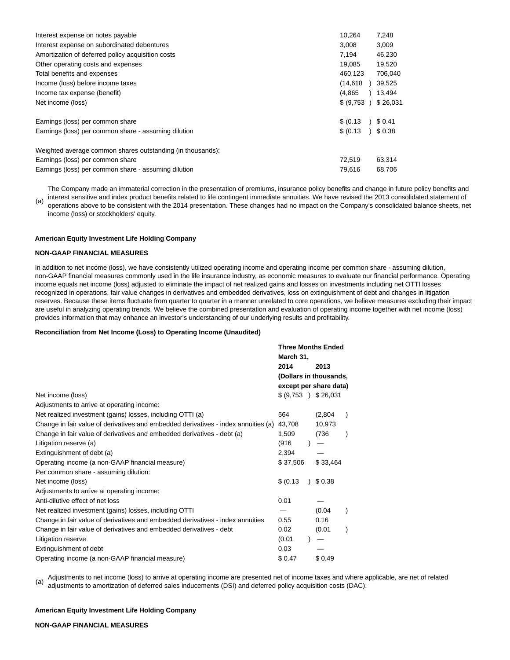| Interest expense on notes payable                          | 10,264     | 7,248    |
|------------------------------------------------------------|------------|----------|
| Interest expense on subordinated debentures                | 3,008      | 3,009    |
| Amortization of deferred policy acquisition costs          | 7,194      | 46,230   |
| Other operating costs and expenses                         | 19,085     | 19,520   |
| Total benefits and expenses                                | 460,123    | 706,040  |
| Income (loss) before income taxes                          | (14, 618)  | 39.525   |
| Income tax expense (benefit)                               | (4,865)    | 13,494   |
| Net income (loss)                                          | \$ (9,753) | \$26,031 |
| Earnings (loss) per common share                           | \$ (0.13)  | \$0.41   |
| Earnings (loss) per common share - assuming dilution       | \$ (0.13)  | 36.38    |
| Weighted average common shares outstanding (in thousands): |            |          |
| Earnings (loss) per common share                           | 72,519     | 63,314   |
| Earnings (loss) per common share - assuming dilution       | 79.616     | 68.706   |

(a) The Company made an immaterial correction in the presentation of premiums, insurance policy benefits and change in future policy benefits and interest sensitive and index product benefits related to life contingent immediate annuities. We have revised the 2013 consolidated statement of operations above to be consistent with the 2014 presentation. These changes had no impact on the Company's consolidated balance sheets, net income (loss) or stockholders' equity.

**American Equity Investment Life Holding Company**

## **NON-GAAP FINANCIAL MEASURES**

In addition to net income (loss), we have consistently utilized operating income and operating income per common share - assuming dilution, non-GAAP financial measures commonly used in the life insurance industry, as economic measures to evaluate our financial performance. Operating income equals net income (loss) adjusted to eliminate the impact of net realized gains and losses on investments including net OTTI losses recognized in operations, fair value changes in derivatives and embedded derivatives, loss on extinguishment of debt and changes in litigation reserves. Because these items fluctuate from quarter to quarter in a manner unrelated to core operations, we believe measures excluding their impact are useful in analyzing operating trends. We believe the combined presentation and evaluation of operating income together with net income (loss) provides information that may enhance an investor's understanding of our underlying results and profitability.

#### **Reconciliation from Net Income (Loss) to Operating Income (Unaudited)**

|                                                                                    | <b>Three Months Ended</b> |  |          |  |
|------------------------------------------------------------------------------------|---------------------------|--|----------|--|
|                                                                                    | March 31,                 |  |          |  |
|                                                                                    | 2014                      |  | 2013     |  |
|                                                                                    | (Dollars in thousands,    |  |          |  |
|                                                                                    | except per share data)    |  |          |  |
| Net income (loss)                                                                  | \$ (9.753)                |  | \$26,031 |  |
| Adjustments to arrive at operating income:                                         |                           |  |          |  |
| Net realized investment (gains) losses, including OTTI (a)                         | 564                       |  | (2,804)  |  |
| Change in fair value of derivatives and embedded derivatives - index annuities (a) | 43,708                    |  | 10.973   |  |
| Change in fair value of derivatives and embedded derivatives - debt (a)            | 1,509                     |  | (736     |  |
| Litigation reserve (a)                                                             | (916)                     |  |          |  |
| Extinguishment of debt (a)                                                         | 2,394                     |  |          |  |
| Operating income (a non-GAAP financial measure)                                    | \$37,506                  |  | \$33,464 |  |
| Per common share - assuming dilution:                                              |                           |  |          |  |
| Net income (loss)                                                                  | \$ (0.13)                 |  | \$0.38   |  |
| Adjustments to arrive at operating income:                                         |                           |  |          |  |
| Anti-dilutive effect of net loss                                                   | 0.01                      |  |          |  |
| Net realized investment (gains) losses, including OTTI                             |                           |  | (0.04)   |  |
| Change in fair value of derivatives and embedded derivatives - index annuities     | 0.55                      |  | 0.16     |  |
| Change in fair value of derivatives and embedded derivatives - debt                | 0.02                      |  | (0.01)   |  |
| Litigation reserve                                                                 | (0.01)                    |  |          |  |
| Extinguishment of debt                                                             | 0.03                      |  |          |  |
| Operating income (a non-GAAP financial measure)                                    | \$0.47                    |  | \$0.49   |  |
|                                                                                    |                           |  |          |  |

Adjustments to net income (loss) to arrive at operating income are presented net of income taxes and where applicable, are net of related<br>(a) adjustments to approximation of defensed asks inducements (DCI) and defensed ask adjustments to amortization of deferred sales inducements (DSI) and deferred policy acquisition costs (DAC).

# **American Equity Investment Life Holding Company**

#### **NON-GAAP FINANCIAL MEASURES**